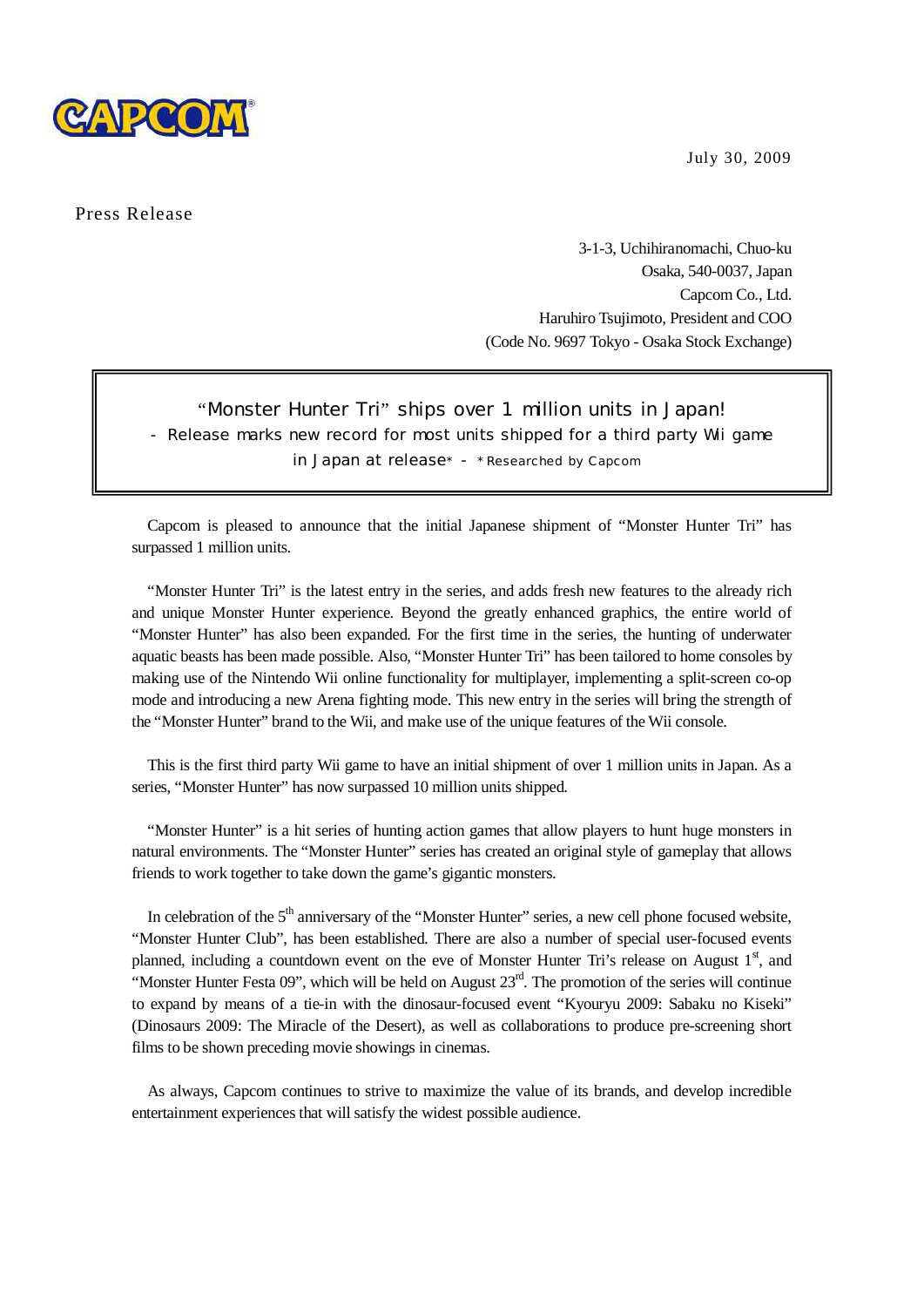



Press Release

3-1-3, Uchihiranomachi, Chuo-ku Osaka, 540-0037, Japan Capcom Co., Ltd. Haruhiro Tsujimoto, President and COO (Code No. 9697 Tokyo - Osaka Stock Exchange)

## "Monster Hunter Tri" ships over 1 million units in Japan! - Release marks new record for most units shipped for a third party Wii game in Japan at release\* - \* Researched by Capcom

Capcom is pleased to announce that the initial Japanese shipment of "Monster Hunter Tri" has surpassed 1 million units.

 $\overline{a}$ 

"Monster Hunter Tri" is the latest entry in the series, and adds fresh new features to the already rich and unique Monster Hunter experience. Beyond the greatly enhanced graphics, the entire world of "Monster Hunter" has also been expanded. For the first time in the series, the hunting of underwater aquatic beasts has been made possible. Also, "Monster Hunter Tri" has been tailored to home consoles by making use of the Nintendo Wii online functionality for multiplayer, implementing a split-screen co-op mode and introducing a new Arena fighting mode. This new entry in the series will bring the strength of the "Monster Hunter" brand to the Wii, and make use of the unique features of the Wii console.

This is the first third party Wii game to have an initial shipment of over 1 million units in Japan. As a series, "Monster Hunter" has now surpassed 10 million units shipped.

"Monster Hunter" is a hit series of hunting action games that allow players to hunt huge monsters in natural environments. The "Monster Hunter" series has created an original style of gameplay that allows friends to work together to take down the game's gigantic monsters.

In celebration of the  $5<sup>th</sup>$  anniversary of the "Monster Hunter" series, a new cell phone focused website, "Monster Hunter Club", has been established. There are also a number of special user-focused events planned, including a countdown event on the eve of Monster Hunter Tri's release on August  $1<sup>st</sup>$ , and "Monster Hunter Festa 09", which will be held on August  $23<sup>rd</sup>$ . The promotion of the series will continue to expand by means of a tie-in with the dinosaur-focused event "Kyouryu 2009: Sabaku no Kiseki" (Dinosaurs 2009: The Miracle of the Desert), as well as collaborations to produce pre-screening short films to be shown preceding movie showings in cinemas.

As always, Capcom continues to strive to maximize the value of its brands, and develop incredible entertainment experiences that will satisfy the widest possible audience.